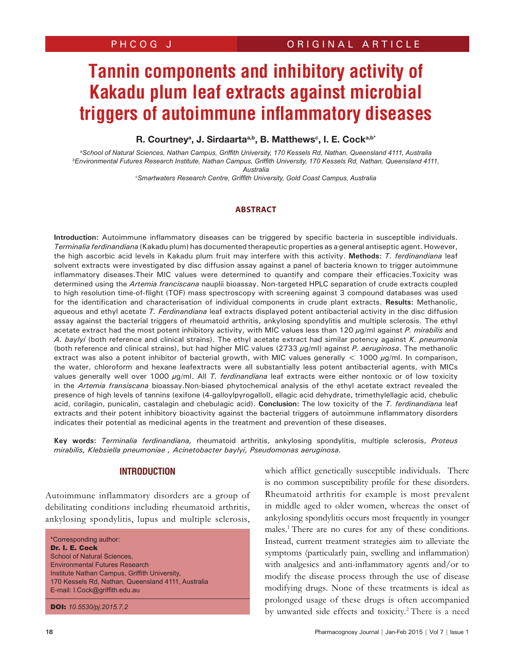# **Tannin components and inhibitory activity of Kakadu plum leaf extracts against microbial triggers of autoimmune inflammatory diseases**

## R. Courtney<sup>a</sup>, J. Sirdaarta<sup>a,b</sup>, B. Matthews<sup>c</sup>, I. E. Cock<sup>a,b\*</sup>

*a School of Natural Sciences, Nathan Campus, Griffith University, 170 Kessels Rd, Nathan, Queensland 4111, Australia b Environmental Futures Research Institute, Nathan Campus, Griffith University, 170 Kessels Rd, Nathan, Queensland 4111, Australia*

*c Smartwaters Research Centre, Griffith University, Gold Coast Campus, Australia*

## **ABSTRACT**

**Introduction:** Autoimmune inflammatory diseases can be triggered by specific bacteria in susceptible individuals. *Terminalia ferdinandiana* (Kakadu plum) has documented therapeutic properties as a general antiseptic agent. However, the high ascorbic acid levels in Kakadu plum fruit may interfere with this activity. **Methods:** *T. ferdinandiana* leaf solvent extracts were investigated by disc diffusion assay against a panel of bacteria known to trigger autoimmune inflammatory diseases.Their MIC values were determined to quantify and compare their efficacies.Toxicity was determined using the *Artemia franciscana* nauplii bioassay. Non-targeted HPLC separation of crude extracts coupled to high resolution time-of-flight (TOF) mass spectroscopy with screening against 3 compound databases was used for the identification and characterisation of individual components in crude plant extracts. **Results:** Methanolic, aqueous and ethyl acetate *T. Ferdinandiana* leaf extracts displayed potent antibacterial activity in the disc diffusion assay against the bacterial triggers of rheumatoid arthritis, ankylosing spondylitis and multiple sclerosis. The ethyl acetate extract had the most potent inhibitory activity, with MIC values less than 120  $\mu$ g/ml against *P. mirabilis* and *A. baylyi* (both reference and clinical strains). The ethyl acetate extract had similar potency against *K. pneumonia*  (both reference and clinical strains), but had higher MIC values (2733 µg/ml) against *P. aeruginosa*. The methanolic extract was also a potent inhibitor of bacterial growth, with MIC values generally  $\lt$  1000  $\mu$ g/ml. In comparison, the water, chloroform and hexane leafextracts were all substantially less potent antibacterial agents, with MICs values generally well over 1000 µg/ml. All *T. ferdinandiana* leaf extracts were either nontoxic or of low toxicity in the *Artemia fransiscana* bioassay.Non-biased phytochemical analysis of the ethyl acetate extract revealed the presence of high levels of tannins (exifone (4-galloylpyrogallol), ellagic acid dehydrate, trimethylellagic acid, chebulic acid, corilagin, punicalin, castalagin and chebulagic acid). **Conclusion:** The low toxicity of the *T. ferdinandiana* leaf extracts and their potent inhibitory bioactivity against the bacterial triggers of autoimmune inflammatory disorders indicates their potential as medicinal agents in the treatment and prevention of these diseases.

**Key words:** *Terminalia ferdinandiana,* rheumatoid arthritis, ankylosing spondylitis, multiple sclerosis, *Proteus mirabilis, Klebsiella pneumoniae , Acinetobacter baylyi, Pseudomonas aeruginosa.*

## **INTRODUCTION**

Autoimmune inflammatory disorders are a group of debilitating conditions including rheumatoid arthritis, ankylosing spondylitis, lupus and multiple sclerosis,

\*Corresponding author: Dr. I. E. Cock School of Natural Sciences, Environmental Futures Research Institute Nathan Campus, Griffith University, 170 Kessels Rd, Nathan, Queensland 4111, Australia E-mail: I.Cock@griffith.edu.au

DOI: *10.5530/pj.2015.7.2*

which afflict genetically susceptible individuals. There is no common susceptibility profile for these disorders. Rheumatoid arthritis for example is most prevalent in middle aged to older women, whereas the onset of ankylosing spondylitis occurs most frequently in younger males.<sup>1</sup> There are no cures for any of these conditions. Instead, current treatment strategies aim to alleviate the symptoms (particularly pain, swelling and inflammation) with analgesics and anti-inflammatory agents and/or to modify the disease process through the use of disease modifying drugs. None of these treatments is ideal as prolonged usage of these drugs is often accompanied by unwanted side effects and toxicity. <sup>2</sup>There is a need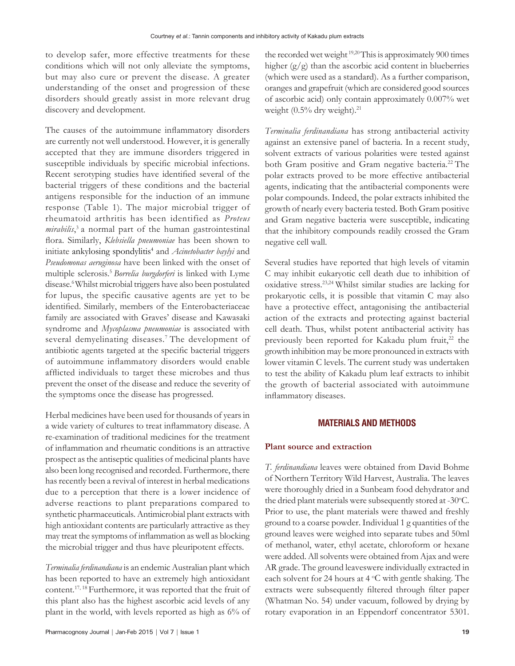to develop safer, more effective treatments for these conditions which will not only alleviate the symptoms, but may also cure or prevent the disease. A greater understanding of the onset and progression of these disorders should greatly assist in more relevant drug discovery and development.

The causes of the autoimmune inflammatory disorders are currently not well understood. However, it is generally accepted that they are immune disorders triggered in susceptible individuals by specific microbial infections. Recent serotyping studies have identified several of the bacterial triggers of these conditions and the bacterial antigens responsible for the induction of an immune response (Table 1). The major microbial trigger of rheumatoid arthritis has been identified as *Proteus mirabilis*, 3 a normal part of the human gastrointestinal flora. Similarly, *Klebsiella pneumoniae* has been shown to initiate ankylosing spondylitis<sup>4</sup> and *Acinetobacter baylyi* and *Pseudomonas aeruginosa* have been linked with the onset of multiple sclerosis.<sup>5</sup>*Borrelia burgdorferi* is linked with Lyme disease.<sup>6</sup>Whilst microbial triggers have also been postulated for lupus, the specific causative agents are yet to be identified. Similarly, members of the Enterobacteriaceae family are associated with Graves' disease and Kawasaki syndrome and *Mycoplasma pneumoniae* is associated with several demyelinating diseases.<sup>7</sup> The development of antibiotic agents targeted at the specific bacterial triggers of autoimmune inflammatory disorders would enable afflicted individuals to target these microbes and thus prevent the onset of the disease and reduce the severity of the symptoms once the disease has progressed.

Herbal medicines have been used for thousands of years in a wide variety of cultures to treat inflammatory disease. A re-examination of traditional medicines for the treatment of inflammation and rheumatic conditions is an attractive prospect as the antiseptic qualities of medicinal plants have also been long recognised and recorded. Furthermore, there has recently been a revival of interest in herbal medications due to a perception that there is a lower incidence of adverse reactions to plant preparations compared to synthetic pharmaceuticals. Antimicrobial plant extracts with high antioxidant contents are particularly attractive as they may treat the symptoms of inflammation as well as blocking the microbial trigger and thus have pleuripotent effects.

*Terminalia ferdinandiana* is an endemic Australian plant which has been reported to have an extremely high antioxidant content.17, 18 Furthermore, it was reported that the fruit of this plant also has the highest ascorbic acid levels of any plant in the world, with levels reported as high as 6% of

the recorded wet weight <sup>19,20</sup> This is approximately 900 times higher  $(g/g)$  than the ascorbic acid content in blueberries (which were used as a standard). As a further comparison, oranges and grapefruit (which are considered good sources of ascorbic acid) only contain approximately 0.007% wet weight (0.5% dry weight).<sup>21</sup>

*Terminalia ferdinandiana* has strong antibacterial activity against an extensive panel of bacteria. In a recent study, solvent extracts of various polarities were tested against both Gram positive and Gram negative bacteria.<sup>22</sup> The polar extracts proved to be more effective antibacterial agents, indicating that the antibacterial components were polar compounds. Indeed, the polar extracts inhibited the growth of nearly every bacteria tested. Both Gram positive and Gram negative bacteria were susceptible, indicating that the inhibitory compounds readily crossed the Gram negative cell wall.

Several studies have reported that high levels of vitamin C may inhibit eukaryotic cell death due to inhibition of oxidative stress.23,24 Whilst similar studies are lacking for prokaryotic cells, it is possible that vitamin C may also have a protective effect, antagonising the antibacterial action of the extracts and protecting against bacterial cell death. Thus, whilst potent antibacterial activity has previously been reported for Kakadu plum fruit,<sup>22</sup> the growth inhibition may be more pronounced in extracts with lower vitamin C levels. The current study was undertaken to test the ability of Kakadu plum leaf extracts to inhibit the growth of bacterial associated with autoimmune inflammatory diseases.

## **MATERIALS AND METHODS**

#### **Plant source and extraction**

*T. ferdinandiana* leaves were obtained from David Bohme of Northern Territory Wild Harvest, Australia. The leaves were thoroughly dried in a Sunbeam food dehydrator and the dried plant materials were subsequently stored at -30°C. Prior to use, the plant materials were thawed and freshly ground to a coarse powder. Individual 1 g quantities of the ground leaves were weighed into separate tubes and 50ml of methanol, water, ethyl acetate, chloroform or hexane were added. All solvents were obtained from Ajax and were AR grade. The ground leaveswere individually extracted in each solvent for 24 hours at 4 °C with gentle shaking. The extracts were subsequently filtered through filter paper (Whatman No. 54) under vacuum, followed by drying by rotary evaporation in an Eppendorf concentrator 5301.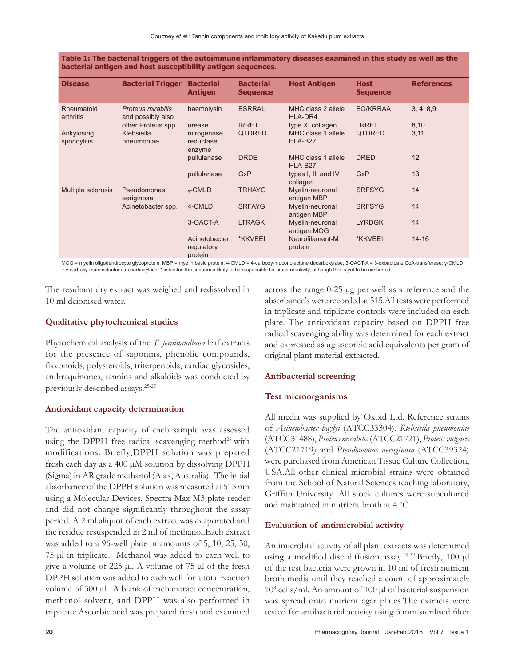**Table 1: The bacterial triggers of the autoimmune inflammatory diseases examined in this study as well as the** 

| bacterial antigen and host susceptibility antigen sequences. |                                                |                                              |                                     |                                                   |                                |                   |  |  |
|--------------------------------------------------------------|------------------------------------------------|----------------------------------------------|-------------------------------------|---------------------------------------------------|--------------------------------|-------------------|--|--|
| <b>Disease</b>                                               | <b>Bacterial Trigger</b>                       | <b>Bacterial</b><br><b>Antigen</b>           | <b>Bacterial</b><br><b>Sequence</b> | <b>Host Antigen</b>                               | <b>Host</b><br><b>Sequence</b> | <b>References</b> |  |  |
| Rheumatoid<br>arthritis                                      | Proteus mirabilis<br>and possibly also         | haemolysin                                   | <b>ESRRAL</b>                       | MHC class 2 allele<br>HLA-DR4                     | <b>EQ/KRRAA</b>                | 3, 4, 8, 9        |  |  |
| Ankylosing<br>spondylitis                                    | other Proteus spp.<br>Klebsiella<br>pneumoniae | urease<br>nitrogenase<br>reductase<br>enzyme | <b>IRRET</b><br><b>QTDRED</b>       | type XI collagen<br>MHC class 1 allele<br>HLA-B27 | <b>LRREI</b><br><b>QTDRED</b>  | 8,10<br>3,11      |  |  |
|                                                              |                                                | pullulanase                                  | <b>DRDE</b>                         | MHC class 1 allele<br>HLA-B27                     | <b>DRED</b>                    | 12                |  |  |
|                                                              |                                                | pullulanase                                  | <b>GxP</b>                          | types I, III and IV<br>collagen                   | GxP                            | 13                |  |  |
| Multiple sclerosis                                           | Pseudomonas<br>aeriginosa                      | $v$ -CMLD                                    | <b>TRHAYG</b>                       | Myelin-neuronal<br>antigen MBP                    | <b>SRFSYG</b>                  | 14                |  |  |
|                                                              | Acinetobacter spp.                             | 4-CMLD                                       | <b>SRFAYG</b>                       | Myelin-neuronal<br>antigen MBP                    | <b>SRFSYG</b>                  | 14                |  |  |
|                                                              |                                                | 3-OACT-A                                     | <b>LTRAGK</b>                       | Myelin-neuronal<br>antigen MOG                    | <b>LYRDGK</b>                  | 14                |  |  |
|                                                              |                                                | Acinetobacter<br>regulatory<br>protein       | *KKVEEI                             | Neurofilament-M<br>protein                        | *KKVEEI                        | $14 - 16$         |  |  |

MOG = myelin oligodendrocyte glycoprotein; MBP = myelin basic protein; 4-CMLD = 4-carboxy-muconolactone decarboxylase; 3-OACT-A = 3-oxoadipate CoA-transferase; γ-CMLD = γ-carboxy-muconolactone decarboxylase. \* indicates the sequence likely to be responsible for cross-reactivity, although this is yet to be confirmed.

The resultant dry extract was weighed and redissolved in 10 ml deionised water.

## **Qualitative phytochemical studies**

Phytochemical analysis of the *T. ferdinandiana* leaf extracts for the presence of saponins, phenolic compounds, flavonoids, polysteroids, triterpenoids, cardiac glycosides, anthraquinones, tannins and alkaloids was conducted by previously described assays.25-27

#### **Antioxidant capacity determination**

The antioxidant capacity of each sample was assessed using the DPPH free radical scavenging method<sup>28</sup> with modifications. Briefly,DPPH solution was prepared fresh each day as a 400 µM solution by dissolving DPPH (Sigma) in AR grade methanol (Ajax, Australia). The initial absorbance of the DPPH solution was measured at 515 nm using a Molecular Devices, Spectra Max M3 plate reader and did not change significantly throughout the assay period. A 2 ml aliquot of each extract was evaporated and the residue resuspended in 2 ml of methanol.Each extract was added to a 96-well plate in amounts of 5, 10, 25, 50, 75 µl in triplicate. Methanol was added to each well to give a volume of 225 µl. A volume of 75 µl of the fresh DPPH solution was added to each well for a total reaction volume of 300 µl. A blank of each extract concentration, methanol solvent, and DPPH was also performed in triplicate.Ascorbic acid was prepared fresh and examined

across the range 0-25 µg per well as a reference and the absorbance's were recorded at 515.All tests were performed in triplicate and triplicate controls were included on each plate. The antioxidant capacity based on DPPH free radical scavenging ability was determined for each extract and expressed as µg ascorbic acid equivalents per gram of original plant material extracted.

#### **Antibacterial screening**

#### **Test microorganisms**

All media was supplied by Oxoid Ltd. Reference strains of *Acinetobacter baylyi* (ATCC33304), *Klebsiella pneumoniae*  (ATCC31488), *Proteus mirabilis* (ATCC21721), *Proteus vulgaris* (ATCC21719) and *Pseudomonas aeruginosa* (ATCC39324) were purchased from American Tissue Culture Collection, USA.All other clinical microbial strains were obtained from the School of Natural Sciences teaching laboratory, Griffith University. All stock cultures were subcultured and maintained in nutrient broth at 4 °C.

#### **Evaluation of antimicrobial activity**

Antimicrobial activity of all plant extracts was determined using a modified disc diffusion assay.29-32 Briefly, 100 µl of the test bacteria were grown in 10 ml of fresh nutrient broth media until they reached a count of approximately 108 cells/ml. An amount of 100 µl of bacterial suspension was spread onto nutrient agar plates.The extracts were tested for antibacterial activity using 5 mm sterilised filter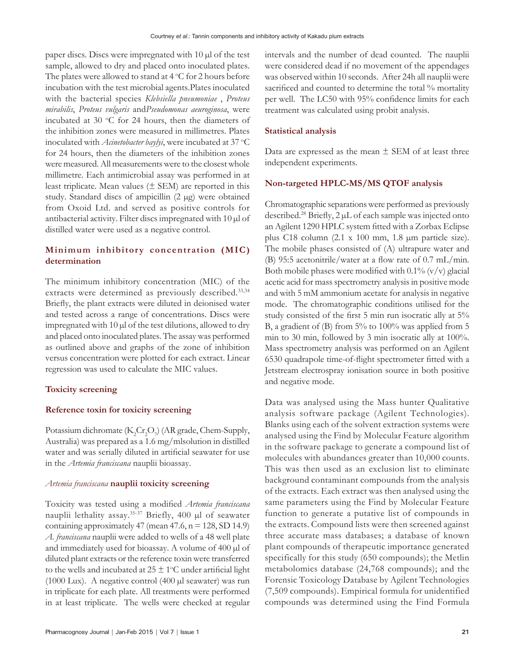paper discs. Discs were impregnated with 10 µl of the test sample, allowed to dry and placed onto inoculated plates. The plates were allowed to stand at  $4^{\circ}$ C for 2 hours before incubation with the test microbial agents.Plates inoculated with the bacterial species *Klebsiella pneumoniae* , *Proteus mirabilis*, *Proteus vulgaris* and*Pseudomonas aeuroginosa*, were incubated at 30  $\mathrm{^{\circ}C}$  for 24 hours, then the diameters of the inhibition zones were measured in millimetres. Plates inoculated with *Acinetobacter baylyi*, were incubated at 37 °C for 24 hours, then the diameters of the inhibition zones were measured. All measurements were to the closest whole millimetre. Each antimicrobial assay was performed in at least triplicate. Mean values  $(\pm$  SEM) are reported in this study. Standard discs of ampicillin (2 µg) were obtained from Oxoid Ltd. and served as positive controls for antibacterial activity. Filter discs impregnated with 10 µl of distilled water were used as a negative control.

## **Minimum inhibitory concentration (MIC) determination**

The minimum inhibitory concentration (MIC) of the extracts were determined as previously described.<sup>33,34</sup> Briefly, the plant extracts were diluted in deionised water and tested across a range of concentrations. Discs were impregnated with  $10 \mu$ l of the test dilutions, allowed to dry and placed onto inoculated plates. The assay was performed as outlined above and graphs of the zone of inhibition versus concentration were plotted for each extract. Linear regression was used to calculate the MIC values.

## **Toxicity screening**

#### **Reference toxin for toxicity screening**

Potassium dichromate  $(K_2Cr_2O_7)$  (AR grade, Chem-Supply, Australia) was prepared as a 1.6 mg/mlsolution in distilled water and was serially diluted in artificial seawater for use in the *Artemia franciscana* nauplii bioassay.

#### *Artemia franciscana* **nauplii toxicity screening**

Toxicity was tested using a modified *Artemia franciscana*  nauplii lethality assay.35-37 Briefly, 400 µl of seawater containing approximately 47 (mean  $47.6$ , n = 128, SD 14.9) *A. franciscana* nauplii were added to wells of a 48 well plate and immediately used for bioassay. A volume of 400 µl of diluted plant extracts or the reference toxin were transferred to the wells and incubated at  $25 \pm 1$ °C under artificial light (1000 Lux). A negative control (400 µl seawater) was run in triplicate for each plate. All treatments were performed in at least triplicate. The wells were checked at regular

intervals and the number of dead counted. The nauplii were considered dead if no movement of the appendages was observed within 10 seconds. After 24h all nauplii were sacrificed and counted to determine the total % mortality per well. The LC50 with 95% confidence limits for each treatment was calculated using probit analysis.

#### **Statistical analysis**

Data are expressed as the mean  $\pm$  SEM of at least three independent experiments.

#### **Non-targeted HPLC-MS/MS QTOF analysis**

Chromatographic separations were performed as previously described.<sup>28</sup> Briefly,  $2 \mu L$  of each sample was injected onto an Agilent 1290 HPLC system fitted with a Zorbax Eclipse plus C18 column (2.1 x 100 mm, 1.8 µm particle size). The mobile phases consisted of (A) ultrapure water and (B) 95:5 acetonitrile/water at a flow rate of 0.7 mL/min. Both mobile phases were modified with  $0.1\%$  (v/v) glacial acetic acid for mass spectrometry analysis in positive mode and with 5 mM ammonium acetate for analysis in negative mode. The chromatographic conditions utilised for the study consisted of the first 5 min run isocratic ally at 5% B, a gradient of (B) from 5% to 100% was applied from 5 min to 30 min, followed by 3 min isocratic ally at 100%. Mass spectrometry analysis was performed on an Agilent 6530 quadrapole time-of-flight spectrometer fitted with a Jetstream electrospray ionisation source in both positive and negative mode.

Data was analysed using the Mass hunter Qualitative analysis software package (Agilent Technologies). Blanks using each of the solvent extraction systems were analysed using the Find by Molecular Feature algorithm in the software package to generate a compound list of molecules with abundances greater than 10,000 counts. This was then used as an exclusion list to eliminate background contaminant compounds from the analysis of the extracts. Each extract was then analysed using the same parameters using the Find by Molecular Feature function to generate a putative list of compounds in the extracts. Compound lists were then screened against three accurate mass databases; a database of known plant compounds of therapeutic importance generated specifically for this study (650 compounds); the Metlin metabolomics database (24,768 compounds); and the Forensic Toxicology Database by Agilent Technologies (7,509 compounds). Empirical formula for unidentified compounds was determined using the Find Formula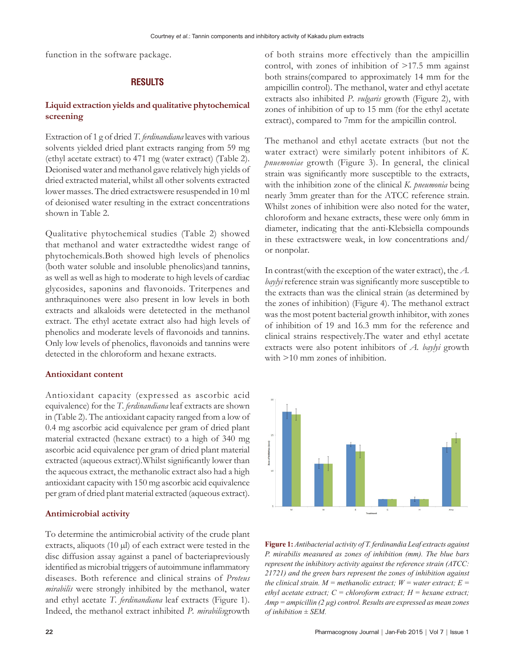function in the software package.

## **RESULTS**

## **Liquid extraction yields and qualitative phytochemical screening**

Extraction of 1 g of dried *T. ferdinandiana* leaves with various solvents yielded dried plant extracts ranging from 59 mg (ethyl acetate extract) to 471 mg (water extract) (Table 2). Deionised water and methanol gave relatively high yields of dried extracted material, whilst all other solvents extracted lower masses. The dried extractswere resuspended in 10 ml of deionised water resulting in the extract concentrations shown in Table 2.

Qualitative phytochemical studies (Table 2) showed that methanol and water extractedthe widest range of phytochemicals.Both showed high levels of phenolics (both water soluble and insoluble phenolics)and tannins, as well as well as high to moderate to high levels of cardiac glycosides, saponins and flavonoids. Triterpenes and anthraquinones were also present in low levels in both extracts and alkaloids were detetected in the methanol extract. The ethyl acetate extract also had high levels of phenolics and moderate levels of flavonoids and tannins. Only low levels of phenolics, flavonoids and tannins were detected in the chloroform and hexane extracts.

## **Antioxidant content**

Antioxidant capacity (expressed as ascorbic acid equivalence) for the *T. ferdinandiana* leaf extracts are shown in (Table 2). The antioxidant capacity ranged from a low of 0.4 mg ascorbic acid equivalence per gram of dried plant material extracted (hexane extract) to a high of 340 mg ascorbic acid equivalence per gram of dried plant material extracted (aqueous extract).Whilst significantly lower than the aqueous extract, the methanolic extract also had a high antioxidant capacity with 150 mg ascorbic acid equivalence per gram of dried plant material extracted (aqueous extract).

## **Antimicrobial activity**

To determine the antimicrobial activity of the crude plant extracts, aliquots (10 µl) of each extract were tested in the disc diffusion assay against a panel of bacteriapreviously identified as microbial triggers of autoimmune inflammatory diseases. Both reference and clinical strains of *Proteus mirabilis* were strongly inhibited by the methanol, water and ethyl acetate *T. ferdinandiana* leaf extracts (Figure 1). Indeed, the methanol extract inhibited *P. mirabilis*growth

of both strains more effectively than the ampicillin control, with zones of inhibition of >17.5 mm against both strains(compared to approximately 14 mm for the ampicillin control). The methanol, water and ethyl acetate extracts also inhibited *P. vulgaris* growth (Figure 2), with zones of inhibition of up to 15 mm (for the ethyl acetate extract), compared to 7mm for the ampicillin control.

The methanol and ethyl acetate extracts (but not the water extract) were similarly potent inhibitors of *K. pnuemoniae* growth (Figure 3). In general, the clinical strain was significantly more susceptible to the extracts, with the inhibition zone of the clinical *K. pneumonia* being nearly 3mm greater than for the ATCC reference strain. Whilst zones of inhibition were also noted for the water, chloroform and hexane extracts, these were only 6mm in diameter, indicating that the anti-Klebsiella compounds in these extractswere weak, in low concentrations and/ or nonpolar.

In contrast(with the exception of the water extract), the *A. baylyi* reference strain was significantly more susceptible to the extracts than was the clinical strain (as determined by the zones of inhibition) (Figure 4). The methanol extract was the most potent bacterial growth inhibitor, with zones of inhibition of 19 and 16.3 mm for the reference and clinical strains respectively.The water and ethyl acetate extracts were also potent inhibitors of *A. baylyi* growth with >10 mm zones of inhibition.



**Figure 1:** *Antibacterial activity of T. ferdinandia Leaf extracts against P. mirabilis measured as zones of inhibition (mm). The blue bars represent the inhibitory activity against the reference strain (ATCC: 21721) and the green bars represent the zones of inhibition against the clinical strain.*  $M$  = methanolic extract;  $W$  = water extract;  $E$  = *ethyl acetate extract; C = chloroform extract; H = hexane extract; Amp = ampicillin (2 µg) control. Results are expressed as mean zones of inhibition ± SEM.*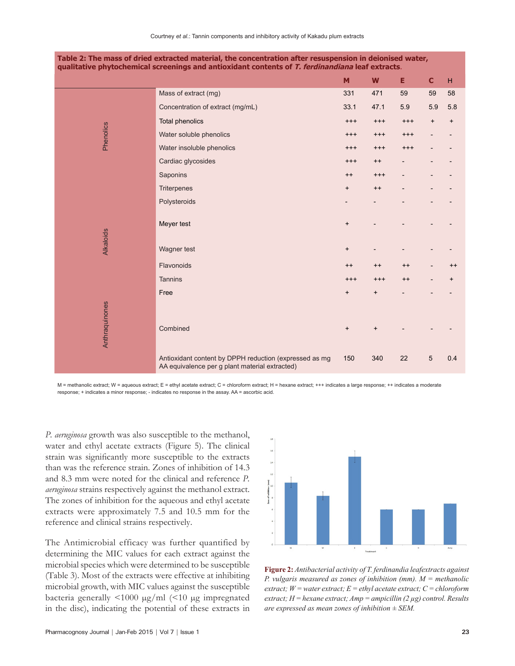|                |                                                                                                          | M         | W         | Ε        | C               | H         |
|----------------|----------------------------------------------------------------------------------------------------------|-----------|-----------|----------|-----------------|-----------|
|                | Mass of extract (mg)                                                                                     | 331       | 471       | 59       | 59              | 58        |
|                | Concentration of extract (mg/mL)                                                                         | 33.1      | 47.1      | 5.9      | 5.9             | 5.8       |
|                | <b>Total phenolics</b>                                                                                   | $^{+++}$  | $^{+++}$  | $^{+++}$ | $\ddot{}$       | $\ddot{}$ |
| Phenolics      | Water soluble phenolics                                                                                  | $^{+++}$  | $^{+++}$  | $^{+++}$ |                 |           |
|                | Water insoluble phenolics                                                                                | $^{+++}$  | $^{+++}$  | $^{++}$  |                 |           |
|                | Cardiac glycosides                                                                                       | $^{+++}$  | $++$      |          |                 |           |
|                | Saponins                                                                                                 | $++$      | $^{+++}$  |          |                 |           |
|                | Triterpenes                                                                                              | $\ddot{}$ | $++$      |          |                 |           |
|                | Polysteroids                                                                                             |           |           |          |                 |           |
|                | Meyer test                                                                                               | $\ddot{}$ |           |          |                 |           |
| Alkaloids      | Wagner test                                                                                              | $\ddot{}$ |           |          |                 |           |
|                | Flavonoids                                                                                               | $++$      | $++$      | $++$     |                 | $++$      |
|                | <b>Tannins</b>                                                                                           | $^{+++}$  | $^{+++}$  | $++$     |                 | $\ddot{}$ |
|                | Free                                                                                                     | $\ddot{}$ | $\ddot{}$ |          |                 |           |
| Anthraquinones | Combined                                                                                                 | $\ddot{}$ | $\ddot{}$ |          |                 |           |
|                | Antioxidant content by DPPH reduction (expressed as mg<br>AA equivalence per g plant material extracted) | 150       | 340       | 22       | $5\phantom{.0}$ | 0.4       |

#### **Table 2: The mass of dried extracted material, the concentration after resuspension in deionised water, qualitative phytochemical screenings and antioxidant contents of T. ferdinandiana leaf extracts**.

M = methanolic extract; W = aqueous extract; E = ethyl acetate extract; C = chloroform extract; H = hexane extract; +++ indicates a large response; ++ indicates a moderate response; + indicates a minor response; - indicates no response in the assay. AA = ascorbic acid.

*P. aeruginosa* growth was also susceptible to the methanol, water and ethyl acetate extracts (Figure 5). The clinical strain was significantly more susceptible to the extracts than was the reference strain. Zones of inhibition of 14.3 and 8.3 mm were noted for the clinical and reference *P. aeruginosa* strains respectively against the methanol extract. The zones of inhibition for the aqueous and ethyl acetate extracts were approximately 7.5 and 10.5 mm for the reference and clinical strains respectively.

The Antimicrobial efficacy was further quantified by determining the MIC values for each extract against the microbial species which were determined to be susceptible (Table 3). Most of the extracts were effective at inhibiting microbial growth, with MIC values against the susceptible bacteria generally  $\langle 1000 \text{ µg/ml } (\langle 10 \text{ µg impregnated})$ in the disc), indicating the potential of these extracts in



**Figure 2:** *Antibacterial activity of T. ferdinandia leafextracts against P. vulgaris measured as zones of inhibition (mm). M = methanolic extract; W = water extract; E = ethyl acetate extract; C = chloroform extract; H = hexane extract; Amp = ampicillin (2 µg) control. Results are expressed as mean zones of inhibition ± SEM.*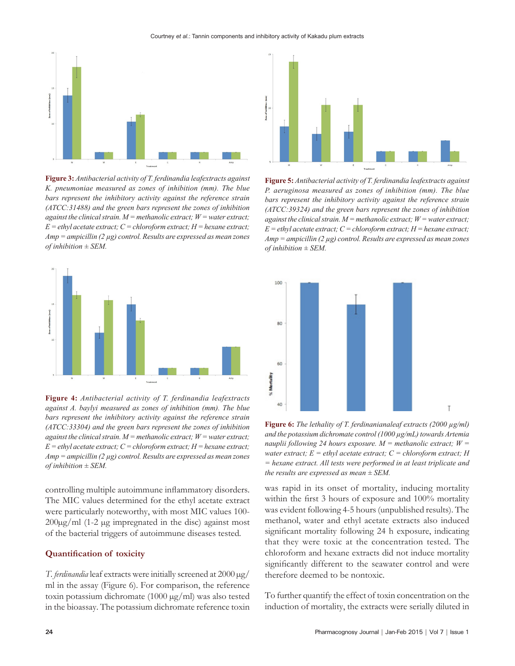#### Courtney *et al*.: Tannin components and inhibitory activity of Kakadu plum extracts



**Figure 3:** *Antibacterial activity of T. ferdinandia leafextracts against K. pneumoniae measured as zones of inhibition (mm). The blue bars represent the inhibitory activity against the reference strain (ATCC:31488) and the green bars represent the zones of inhibition against the clinical strain. M = methanolic extract; W = water extract; E = ethyl acetate extract; C = chloroform extract; H = hexane extract; Amp = ampicillin (2 µg) control. Results are expressed as mean zones of inhibition ± SEM.*



**Figure 4:** *Antibacterial activity of T. ferdinandia leafextracts against A. baylyi measured as zones of inhibition (mm). The blue bars represent the inhibitory activity against the reference strain (ATCC:33304) and the green bars represent the zones of inhibition against the clinical strain. M = methanolic extract; W = water extract;*   $E = ethyl$  *acetate extract;*  $C = chloroform$  *extract;*  $H = hexane$  *extract; Amp = ampicillin (2 µg) control. Results are expressed as mean zones of inhibition ± SEM.*

controlling multiple autoimmune inflammatory disorders. The MIC values determined for the ethyl acetate extract were particularly noteworthy, with most MIC values 100-  $200\mu g/ml$  (1-2  $\mu g$  impregnated in the disc) against most of the bacterial triggers of autoimmune diseases tested*.*

#### **Quantification of toxicity**

*T. ferdinandia* leaf extracts were initially screened at 2000 µg/ ml in the assay (Figure 6). For comparison, the reference toxin potassium dichromate (1000 µg/ml) was also tested in the bioassay. The potassium dichromate reference toxin



**Figure 5:** *Antibacterial activity of T. ferdinandia leafextracts against P. aeruginosa measured as zones of inhibition (mm). The blue bars represent the inhibitory activity against the reference strain (ATCC:39324) and the green bars represent the zones of inhibition against the clinical strain. M = methanolic extract; W = water extract;*   $E = e$ thyl acetate extract;  $C =$ chloroform extract;  $H =$  hexane extract; *Amp = ampicillin (2 µg) control. Results are expressed as mean zones of inhibition ± SEM.*



**Figure 6:** *The lethality of T. ferdinanianaleaf extracts (2000 µg/ml) and the potassium dichromate control (1000 µg/mL) towards Artemia nauplii following 24 hours exposure.*  $M =$  methanolic extract;  $W =$ *water extract;*  $E = ethyl$  *acetate extract;*  $C = chloroform$  *extract;*  $H$ *= hexane extract. All tests were performed in at least triplicate and the results are expressed as mean ± SEM.*

was rapid in its onset of mortality, inducing mortality within the first 3 hours of exposure and 100% mortality was evident following 4-5 hours (unpublished results). The methanol, water and ethyl acetate extracts also induced significant mortality following 24 h exposure, indicating that they were toxic at the concentration tested. The chloroform and hexane extracts did not induce mortality significantly different to the seawater control and were therefore deemed to be nontoxic.

To further quantify the effect of toxin concentration on the induction of mortality, the extracts were serially diluted in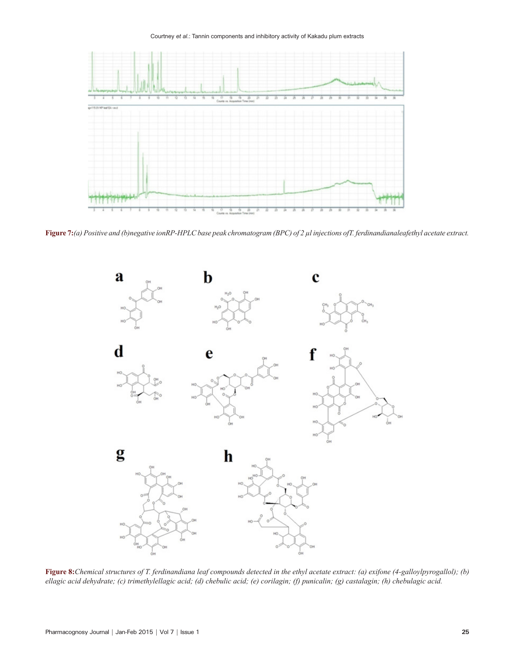Courtney *et al*.: Tannin components and inhibitory activity of Kakadu plum extracts



**Figure 7:***(a) Positive and (b)negative ionRP-HPLC base peak chromatogram (BPC) of 2 µl injections ofT. ferdinandianaleafethyl acetate extract.* 



**Figure 8:***Chemical structures of T. ferdinandiana leaf compounds detected in the ethyl acetate extract: (a) exifone (4-galloylpyrogallol); (b) ellagic acid dehydrate; (c) trimethylellagic acid; (d) chebulic acid; (e) corilagin; (f) punicalin; (g) castalagin; (h) chebulagic acid.*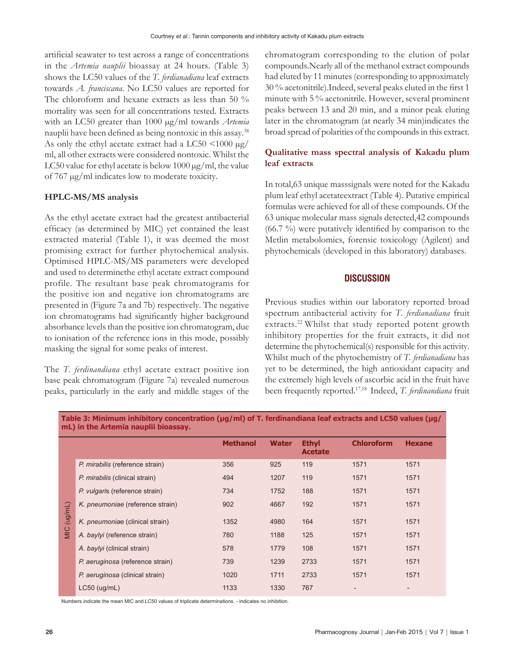artificial seawater to test across a range of concentrations in the *Artemia nauplii* bioassay at 24 hours. (Table 3) shows the LC50 values of the *T. ferdianadiana* leaf extracts towards *A. franciscana*. No LC50 values are reported for The chloroform and hexane extracts as less than 50 % mortality was seen for all concentrations tested. Extracts with an LC50 greater than 1000 µg/ml towards *Artemia* nauplii have been defined as being nontoxic in this assay.<sup>38</sup> As only the ethyl acetate extract had a LC50  $\lt$ 1000  $\mu$ g/ ml, all other extracts were considered nontoxic. Whilst the LC50 value for ethyl acetate is below  $1000 \,\mathrm{\upmu g/ml}$ , the value of 767 µg/ml indicates low to moderate toxicity.

## **HPLC-MS/MS analysis**

As the ethyl acetate extract had the greatest antibacterial efficacy (as determined by MIC) yet contained the least extracted material (Table 1), it was deemed the most promising extract for further phytochemical analysis. Optimised HPLC-MS/MS parameters were developed and used to determinethe ethyl acetate extract compound profile. The resultant base peak chromatograms for the positive ion and negative ion chromatograms are presented in (Figure 7a and 7b) respectively. The negative ion chromatograms had significantly higher background absorbance levels than the positive ion chromatogram, due to ionisation of the reference ions in this mode, possibly masking the signal for some peaks of interest.

The *T. ferdinandiana* ethyl acetate extract positive ion base peak chromatogram (Figure 7a) revealed numerous peaks, particularly in the early and middle stages of the chromatogram corresponding to the elution of polar compounds.Nearly all of the methanol extract compounds had eluted by 11 minutes (corresponding to approximately 30 % acetonitrile).Indeed, several peaks eluted in the first 1 minute with 5 % acetonitrile. However, several prominent peaks between 13 and 20 min, and a minor peak eluting later in the chromatogram (at nearly 34 min)indicates the broad spread of polarities of the compounds in this extract.

# **Qualitative mass spectral analysis of Kakadu plum leaf extracts**

In total,63 unique masssignals were noted for the Kakadu plum leaf ethyl acetateextract (Table 4). Putative empirical formulas were achieved for all of these compounds. Of the 63 unique molecular mass signals detected,42 compounds (66.7 %) were putatively identified by comparison to the Metlin metabolomics, forensic toxicology (Agilent) and phytochemicals (developed in this laboratory) databases.

## **DISCUSSION**

Previous studies within our laboratory reported broad spectrum antibacterial activity for *T. ferdianadiana* fruit extracts.<sup>22</sup> Whilst that study reported potent growth inhibitory properties for the fruit extracts, it did not determine the phytochemical(s) responsible for this activity. Whilst much of the phytochemistry of *T. ferdianadiana* has yet to be determined, the high antioxidant capacity and the extremely high levels of ascorbic acid in the fruit have been frequently reported.17,18 Indeed, *T. ferdinandiana* fruit

**Table 3: Minimum inhibitory concentration (µg/ml) of T. ferdinandiana leaf extracts and LC50 values (µg/ mL) in the Artemia nauplii bioassay.** 

|                      |                                  | <b>Methanol</b> | <b>Water</b> | <b>Ethyl</b><br><b>Acetate</b> | <b>Chloroform</b> | <b>Hexane</b> |
|----------------------|----------------------------------|-----------------|--------------|--------------------------------|-------------------|---------------|
|                      | P. mirabilis (reference strain)  | 356             | 925          | 119                            | 1571              | 1571          |
|                      | P. mirabilis (clinical strain)   | 494             | 1207         | 119                            | 1571              | 1571          |
| $($ ug/mL $)$<br>MIC | P. vulgaris (reference strain)   | 734             | 1752         | 188                            | 1571              | 1571          |
|                      | K. pneumoniae (reference strain) | 902             | 4667         | 192                            | 1571              | 1571          |
|                      | K. pneumoniae (clinical strain)  | 1352            | 4980         | 164                            | 1571              | 1571          |
|                      | A. baylyi (reference strain)     | 780             | 1188         | 125                            | 1571              | 1571          |
|                      | A. baylyi (clinical strain)      | 578             | 1779         | 108                            | 1571              | 1571          |
|                      | P. aeruginosa (reference strain) | 739             | 1239         | 2733                           | 1571              | 1571          |
|                      | P. aeruginosa (clinical strain)  | 1020            | 1711         | 2733                           | 1571              | 1571          |
|                      | $LC50$ (ug/mL)                   | 1133            | 1330         | 767                            |                   |               |

Numbers indicate the mean MIC and LC50 values of triplicate determinations. - indicates no inhibition.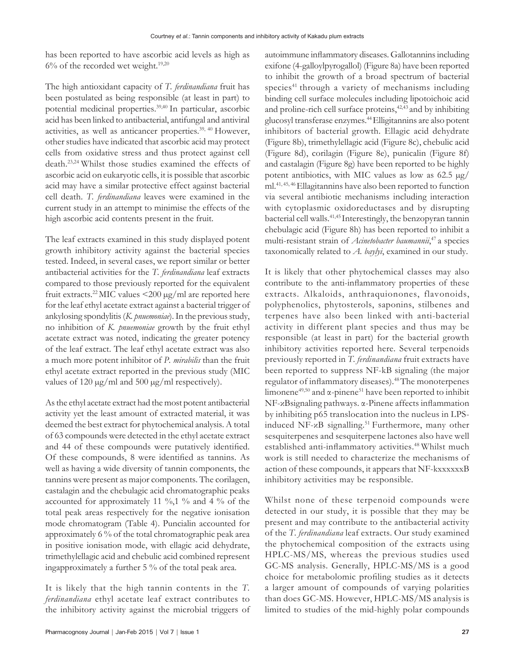has been reported to have ascorbic acid levels as high as  $6\%$  of the recorded wet weight.<sup>19,20</sup>

The high antioxidant capacity of *T. ferdinandiana* fruit has been postulated as being responsible (at least in part) to potential medicinal properties.<sup>39,40</sup> In particular, ascorbic acid has been linked to antibacterial, antifungal and antiviral activities, as well as anticancer properties.39, 40 However, other studies have indicated that ascorbic acid may protect cells from oxidative stress and thus protect against cell death.23,24 Whilst those studies examined the effects of ascorbic acid on eukaryotic cells, it is possible that ascorbic acid may have a similar protective effect against bacterial cell death. *T. ferdinandiana* leaves were examined in the current study in an attempt to minimise the effects of the high ascorbic acid contents present in the fruit.

The leaf extracts examined in this study displayed potent growth inhibitory activity against the bacterial species tested. Indeed, in several cases, we report similar or better antibacterial activities for the *T. ferdinandiana* leaf extracts compared to those previously reported for the equivalent fruit extracts.<sup>22</sup> MIC values  $\leq$ 200 µg/ml are reported here for the leaf ethyl acetate extract against a bacterial trigger of ankylosing spondylitis (*K. pnuemoniae*). In the previous study, no inhibition of *K. pnuemoniae* growth by the fruit ethyl acetate extract was noted, indicating the greater potency of the leaf extract. The leaf ethyl acetate extract was also a much more potent inhibitor of *P. mirabilis* than the fruit ethyl acetate extract reported in the previous study (MIC values of 120  $\mu$ g/ml and 500  $\mu$ g/ml respectively).

As the ethyl acetate extract had the most potent antibacterial activity yet the least amount of extracted material, it was deemed the best extract for phytochemical analysis. A total of 63 compounds were detected in the ethyl acetate extract and 44 of these compounds were putatively identified. Of these compounds, 8 were identified as tannins. As well as having a wide diversity of tannin components, the tannins were present as major components. The corilagen, castalagin and the chebulagic acid chromatographic peaks accounted for approximately 11 %,1 % and 4 % of the total peak areas respectively for the negative ionisation mode chromatogram (Table 4). Puncialin accounted for approximately 6 % of the total chromatographic peak area in positive ionisation mode, with ellagic acid dehydrate, trimethylellagic acid and chebulic acid combined represent ingapproximately a further 5 % of the total peak area.

It is likely that the high tannin contents in the *T. ferdinandiana* ethyl acetate leaf extract contributes to the inhibitory activity against the microbial triggers of autoimmune inflammatory diseases. Gallotannins including exifone (4-galloylpyrogallol) (Figure 8a) have been reported to inhibit the growth of a broad spectrum of bacterial species<sup>41</sup> through a variety of mechanisms including binding cell surface molecules including lipotoichoic acid and proline-rich cell surface proteins,<sup>42,43</sup> and by inhibiting glucosyl transferase enzymes.<sup>44</sup>Elligitannins are also potent inhibitors of bacterial growth. Ellagic acid dehydrate (Figure 8b), trimethylellagic acid (Figure 8c), chebulic acid (Figure 8d), corilagin (Figure 8e), punicalin (Figure 8f) and castalagin (Figure 8g) have been reported to be highly potent antibiotics, with MIC values as low as 62.5 µg/ ml.41, 45, 46 Ellagitannins have also been reported to function via several antibiotic mechanisms including interaction with cytoplasmic oxidoreductases and by disrupting bacterial cell walls.41,45 Interestingly, the benzopyran tannin chebulagic acid (Figure 8h) has been reported to inhibit a multi-resistant strain of *Acinetobacter baumannii*, 47 a species taxonomically related to *A. baylyi*, examined in our study.

It is likely that other phytochemical classes may also contribute to the anti-inflammatory properties of these extracts. Alkaloids, anthraquionones, flavonoids, polyphenolics, phytosterols, saponins, stilbenes and terpenes have also been linked with anti-bacterial activity in different plant species and thus may be responsible (at least in part) for the bacterial growth inhibitory activities reported here. Several terpenoids previously reported in *T. ferdinandiana* fruit extracts have been reported to suppress NF-kB signaling (the major regulator of inflammatory diseases).<sup>48</sup>The monoterpenes limonene<sup>49,50</sup> and  $\alpha$ -pinene<sup>51</sup> have been reported to inhibit NF-κBsignaling pathways. α-Pinene affects inflammation by inhibiting p65 translocation into the nucleus in LPSinduced NF- $xB$  signalling.<sup>51</sup> Furthermore, many other sesquiterpenes and sesquiterpene lactones also have well established anti-inflammatory activities.<sup>48</sup> Whilst much work is still needed to characterize the mechanisms of action of these compounds, it appears that NF-kxxxxxxB inhibitory activities may be responsible.

Whilst none of these terpenoid compounds were detected in our study, it is possible that they may be present and may contribute to the antibacterial activity of the *T. ferdinandiana* leaf extracts. Our study examined the phytochemical composition of the extracts using HPLC-MS/MS, whereas the previous studies used GC-MS analysis. Generally, HPLC-MS/MS is a good choice for metabolomic profiling studies as it detects a larger amount of compounds of varying polarities than does GC-MS. However, HPLC-MS/MS analysis is limited to studies of the mid-highly polar compounds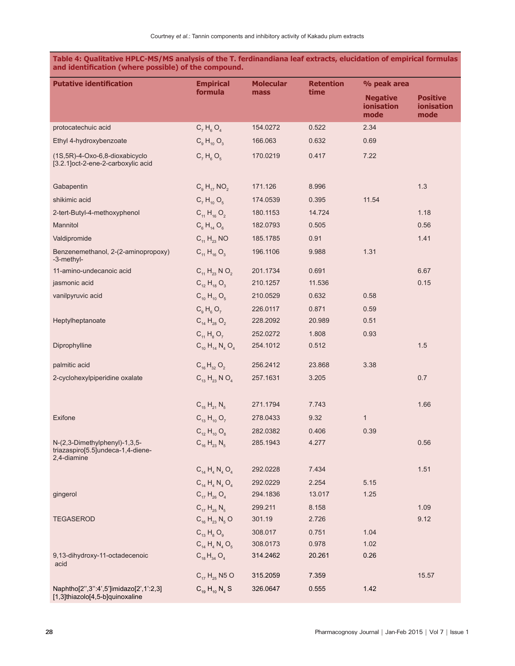| Table 4: Qualitative HPLC-MS/MS analysis of the T. ferdinandiana leaf extracts, elucidation of empirical formulas<br>and identification (where possible) of the compound. |                             |                  |                          |                                       |                                       |  |  |
|---------------------------------------------------------------------------------------------------------------------------------------------------------------------------|-----------------------------|------------------|--------------------------|---------------------------------------|---------------------------------------|--|--|
| <b>Putative identification</b>                                                                                                                                            | <b>Empirical</b><br>formula | <b>Molecular</b> | <b>Retention</b><br>time | % peak area                           |                                       |  |  |
|                                                                                                                                                                           |                             | mass             |                          | <b>Negative</b><br>ionisation<br>mode | <b>Positive</b><br>ionisation<br>mode |  |  |
| protocatechuic acid                                                                                                                                                       | $C_7H_6O_4$                 | 154,0272         | 0.522                    | 2.34                                  |                                       |  |  |

**Table 4: Qualitative HPLC-MS/MS analysis of the T. ferdinandiana leaf extracts, elucidation of empirical formulas** 

| protocatoonalo agu                                                                | $V_7$ $V_6$ $V_4$                         |          |        |              |       |
|-----------------------------------------------------------------------------------|-------------------------------------------|----------|--------|--------------|-------|
| Ethyl 4-hydroxybenzoate                                                           | $C_9H_{10}O_3$                            | 166.063  | 0.632  | 0.69         |       |
| (1S,5R)-4-Oxo-6,8-dioxabicyclo<br>[3.2.1]oct-2-ene-2-carboxylic acid              | $C_7 H_6 O_5$                             | 170.0219 | 0.417  | 7.22         |       |
| Gabapentin                                                                        | $C_9 H_{17} NO_2$                         | 171.126  | 8.996  |              | 1.3   |
| shikimic acid                                                                     | $C_7 H_{10} O_5$                          | 174.0539 | 0.395  | 11.54        |       |
| 2-tert-Butyl-4-methoxyphenol                                                      | $C_{11} H_{16} O_2$                       | 180.1153 | 14.724 |              | 1.18  |
| Mannitol                                                                          | $C_6 H_{14} O_6$                          | 182.0793 | 0.505  |              | 0.56  |
| Valdipromide                                                                      | $C_{11} H_{23} NO$                        | 185.1785 | 0.91   |              | 1.41  |
| Benzenemethanol, 2-(2-aminopropoxy)<br>-3-methyl-                                 | $C_{11}$ H <sub>16</sub> O <sub>3</sub>   | 196.1106 | 9.988  | 1.31         |       |
| 11-amino-undecanoic acid                                                          | $C_{11}$ H <sub>23</sub> N O <sub>2</sub> | 201.1734 | 0.691  |              | 6.67  |
| jasmonic acid                                                                     | $C_{12}H_{18}O_3$                         | 210.1257 | 11.536 |              | 0.15  |
| vanilpyruvic acid                                                                 | $C_{10}H_{10}O_5$                         | 210.0529 | 0.632  | 0.58         |       |
|                                                                                   | $C_9H_6O_7$                               | 226.0117 | 0.871  | 0.59         |       |
| Heptylheptanoate                                                                  | $C_{14}$ H <sub>28</sub> O <sub>2</sub>   | 228.2092 | 20.989 | 0.51         |       |
|                                                                                   | $C_{11} H_8 O_7$                          | 252.0272 | 1.808  | 0.93         |       |
| Diprophylline                                                                     | $C_{10}H_{14}N_4O_4$                      | 254.1012 | 0.512  |              | 1.5   |
| palmitic acid                                                                     | $C_{16}H_{32}O_2$                         | 256.2412 | 23.868 | 3.38         |       |
| 2-cyclohexylpiperidine oxalate                                                    | $C_{13}H_{23}NO_4$                        | 257.1631 | 3.205  |              | 0.7   |
|                                                                                   |                                           |          |        |              |       |
|                                                                                   | $C_{15}H_{21}N_5$                         | 271.1794 | 7.743  |              | 1.66  |
| Exifone                                                                           | $C_{13}H_{10}O_7$                         | 278.0433 | 9.32   | $\mathbf{1}$ |       |
|                                                                                   | $C_{12}H_{10}O_8$                         | 282.0382 | 0.406  | 0.39         |       |
| N-(2,3-Dimethylphenyl)-1,3,5-<br>triazaspiro[5.5]undeca-1,4-diene-<br>2,4-diamine | $C_{16}H_{23}N_5$                         | 285.1943 | 4.277  |              | 0.56  |
|                                                                                   | $C_{14} H_4 N_4 O_4$                      | 292.0228 | 7.434  |              | 1.51  |
|                                                                                   | $C_{14} H_4 N_4 O_4$                      | 292.0229 | 2.254  | 5.15         |       |
| gingerol                                                                          | $C_{17} H_{26} O_4$                       | 294.1836 | 13.017 | 1.25         |       |
|                                                                                   | $C_{17} H_{25} N_5$                       | 299.211  | 8.158  |              | 1.09  |
| <b>TEGASEROD</b>                                                                  | $C_{16}H_{23}N_5O$                        | 301.19   | 2.726  |              | 9.12  |
|                                                                                   | $C_{13}H_8O_9$                            | 308.017  | 0.751  | 1.04         |       |
|                                                                                   | $C_{14} H_4 N_4 O_5$                      | 308.0173 | 0.978  | 1.02         |       |
| 9,13-dihydroxy-11-octadecenoic<br>acid                                            | $C_{18}H_{34}O_4$                         | 314.2462 | 20.261 | 0.26         |       |
|                                                                                   | $C_{17} H_{25} N5 O$                      | 315.2059 | 7.359  |              | 15.57 |
| Naphtho[2",3":4',5']imidazo[2',1':2,3]<br>[1,3]thiazolo[4,5-b]quinoxaline         | $C_{19}H_{10}N_4S$                        | 326.0647 | 0.555  | 1.42         |       |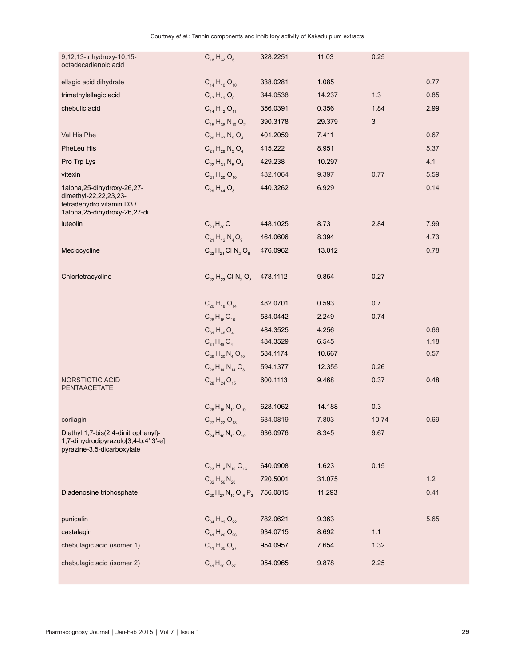| 9,12,13-trihydroxy-10,15-<br>octadecadienoic acid                                                                | $C_{18}$ H <sub>32</sub> O <sub>5</sub>                   | 328.2251 | 11.03  | 0.25  |      |
|------------------------------------------------------------------------------------------------------------------|-----------------------------------------------------------|----------|--------|-------|------|
| ellagic acid dihydrate                                                                                           | $C_{14}$ H <sub>10</sub> O <sub>10</sub>                  | 338.0281 | 1.085  |       | 0.77 |
| trimethylellagic acid                                                                                            | $C_{17}H_{12}O_8$                                         | 344.0538 | 14.237 | 1.3   | 0.85 |
| chebulic acid                                                                                                    | $C_{14}$ H <sub>12</sub> O <sub>11</sub>                  | 356.0391 | 0.356  | 1.84  | 2.99 |
|                                                                                                                  | $C_{15}H_{38}N_{10}O_2$                                   | 390.3178 | 29.379 | 3     |      |
| Val His Phe                                                                                                      | $C_{20}$ H <sub>27</sub> N <sub>5</sub> O <sub>4</sub>    | 401.2059 | 7.411  |       | 0.67 |
| PheLeu His                                                                                                       | $C_{21} H_{29} N_5 O_4$                                   | 415.222  | 8.951  |       | 5.37 |
| Pro Trp Lys                                                                                                      | $C_{22}$ H <sub>31</sub> N <sub>5</sub> O <sub>4</sub>    | 429.238  | 10.297 |       | 4.1  |
| vitexin                                                                                                          | $C_{21}$ H <sub>20</sub> O <sub>10</sub>                  | 432.1064 | 9.397  | 0.77  | 5.59 |
| 1alpha,25-dihydroxy-26,27-<br>dimethyl-22,22,23,23-<br>tetradehydro vitamin D3 /<br>1alpha,25-dihydroxy-26,27-di | $C_{29}H_{44}O_3$                                         | 440.3262 | 6.929  |       | 0.14 |
| <b>luteolin</b>                                                                                                  | $C_{21}H_{20}O_{11}$                                      | 448.1025 | 8.73   | 2.84  | 7.99 |
|                                                                                                                  | $C_{21}H_{12}N_4O_9$                                      | 464.0606 | 8.394  |       | 4.73 |
| Meclocycline                                                                                                     | $C_{22}H_{21}$ Cl N <sub>2</sub> O <sub>8</sub>           | 476.0962 | 13.012 |       | 0.78 |
|                                                                                                                  |                                                           |          |        |       |      |
| Chlortetracycline                                                                                                | $C_{22}$ H <sub>23</sub> Cl N <sub>2</sub> O <sub>8</sub> | 478.1112 | 9.854  | 0.27  |      |
|                                                                                                                  | $C_{20}H_{18}O_{14}$                                      | 482.0701 | 0.593  | 0.7   |      |
|                                                                                                                  | $C_{26}H_{16}O_{16}$                                      | 584.0442 | 2.249  | 0.74  |      |
|                                                                                                                  | $C_{31} H_{48} O_4$                                       | 484.3525 | 4.256  |       | 0.66 |
|                                                                                                                  | $C_{31}H_{48}O_4$                                         | 484.3529 | 6.545  |       | 1.18 |
|                                                                                                                  | $C_{29}H_{20}N_4O_{10}$                                   | 584.1174 | 10.667 |       | 0.57 |
|                                                                                                                  | $C_{28}H_{14}N_{14}O_3$                                   | 594.1377 | 12.355 | 0.26  |      |
| NORSTICTIC ACID<br>PENTAACETATE                                                                                  | $C_{28}H_{24}O_{15}$                                      | 600.1113 | 9.468  | 0.37  | 0.48 |
|                                                                                                                  | $C_{26}H_{16}N_{10}O_{10}$                                | 628.1062 | 14.188 | 0.3   |      |
| corilagin                                                                                                        | $C_{27}H_{22}O_{18}$                                      | 634.0819 | 7.803  | 10.74 | 0.69 |
| Diethyl 1,7-bis(2,4-dinitrophenyl)-<br>1,7-dihydrodipyrazolo[3,4-b:4',3'-e]<br>pyrazine-3,5-dicarboxylate        | $C_{24}H_{16}N_{10}O_{12}$                                | 636.0976 | 8.345  | 9.67  |      |
|                                                                                                                  | $C_{23}H_{16}N_{10}O_{13}$                                | 640.0908 | 1.623  | 0.15  |      |
|                                                                                                                  | $C_{32}$ H <sub>56</sub> N <sub>20</sub>                  | 720.5001 | 31.075 |       | 1.2  |
| Diadenosine triphosphate                                                                                         | $C_{20}H_{27}N_{10}O_{16}P_3$                             | 756.0815 | 11.293 |       | 0.41 |
|                                                                                                                  |                                                           |          |        |       |      |
| punicalin                                                                                                        | $C_{34}$ H <sub>22</sub> O <sub>22</sub>                  | 782.0621 | 9.363  |       | 5.65 |
| castalagin                                                                                                       | $C_{41} H_{26} O_{26}$                                    | 934.0715 | 8.692  | $1.1$ |      |
| chebulagic acid (isomer 1)                                                                                       | $C_{41}$ H <sub>30</sub> O <sub>27</sub>                  | 954.0957 | 7.654  | 1.32  |      |
| chebulagic acid (isomer 2)                                                                                       | $C_{41}H_{30}O_{27}$                                      | 954.0965 | 9.878  | 2.25  |      |
|                                                                                                                  |                                                           |          |        |       |      |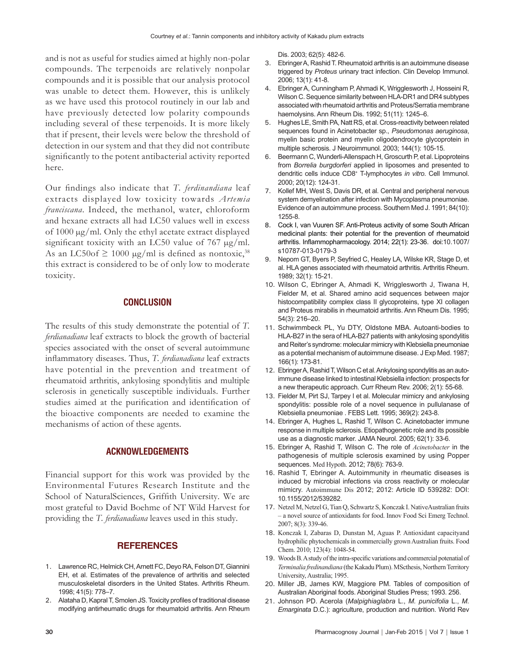and is not as useful for studies aimed at highly non-polar compounds. The terpenoids are relatively nonpolar compounds and it is possible that our analysis protocol was unable to detect them. However, this is unlikely as we have used this protocol routinely in our lab and have previously detected low polarity compounds including several of these terpenoids. It is more likely that if present, their levels were below the threshold of detection in our system and that they did not contribute significantly to the potent antibacterial activity reported here.

Our findings also indicate that *T. ferdinandiana* leaf extracts displayed low toxicity towards *Artemia franciscana*. Indeed, the methanol, water, chloroform and hexane extracts all had LC50 values well in excess of 1000 µg/ml. Only the ethyl acetate extract displayed significant toxicity with an LC50 value of 767 µg/ml. As an LC50of  $\geq 1000 \text{ µg/ml}$  is defined as nontoxic,<sup>38</sup> this extract is considered to be of only low to moderate toxicity.

## **CONCLUSION**

The results of this study demonstrate the potential of *T. ferdianadiana* leaf extracts to block the growth of bacterial species associated with the onset of several autoimmune inflammatory diseases. Thus, *T. ferdianadiana* leaf extracts have potential in the prevention and treatment of rheumatoid arthritis, ankylosing spondylitis and multiple sclerosis in genetically susceptible individuals. Further studies aimed at the purification and identification of the bioactive components are needed to examine the mechanisms of action of these agents.

## **ACKNOWLEDGEMENTS**

Financial support for this work was provided by the Environmental Futures Research Institute and the School of NaturalSciences, Griffith University. We are most grateful to David Boehme of NT Wild Harvest for providing the *T. ferdianadiana* leaves used in this study.

## **REFERENCES**

- 1. Lawrence RC, Helmick CH, Arnett FC, Deyo RA, Felson DT, Giannini EH, et al. Estimates of the prevalence of arthritis and selected musculoskeletal disorders in the United States. Arthritis Rheum. 1998; 41(5): 778–7.
- 2. Alataha D, Kapral T, Smolen JS. Toxicity profiles of traditional disease modifying antirheumatic drugs for rheumatoid arthritis. Ann Rheum

Dis. 2003; 62(5): 482-6.

- 3. Ebringer A, Rashid T. Rheumatoid arthritis is an autoimmune disease triggered by *Proteus* urinary tract infection. Clin Develop Immunol. 2006; 13(1): 41-8.
- 4. Ebringer A, Cunningham P, Ahmadi K, Wrigglesworth J, Hosseini R, Wilson C. Sequence similarity between HLA-DR1 and DR4 subtypes associated with rheumatoid arthritis and Proteus/Serratia membrane haemolysins. Ann Rheum Dis. 1992; 51(11): 1245–6.
- 5. Hughes LE, Smith PA, Natt RS, et al. Cross-reactivity between related sequences found in Acinetobacter sp., *Pseudomonas aeruginosa*, myelin basic protein and myelin oligodendrocyte glycoprotein in multiple scherosis. J Neuroimmunol. 2003; 144(1): 105-15.
- 6. Beermann C, Wunderli-Allenspach H, Groscurth P, et al. Lipoproteins from *Borrelia burgdorferi* applied in liposomes and presented to dendritic cells induce CD8+ T-lymphocytes *in vitro*. Cell Immunol. 2000; 20(12): 124-31.
- 7. Kollef MH, West S, Davis DR, et al. Central and peripheral nervous system demyelination after infection with Mycoplasma pneumoniae. Evidence of an autoimmune process. Southern Med J. 1991; 84(10): 1255-8.
- 8. Cock I, van Vuuren SF. Anti-Proteus activity of some South African medicinal plants: their potential for the prevention of rheumatoid arthritis. Inflammopharmacology. 2014; 22(1): 23-36. doi:10.1007/ s10787-013-0179-3
- 9. Nepom GT, Byers P, Seyfried C, Healey LA, Wilske KR, Stage D, et al. HLA genes associated with rheumatoid arthritis. Arthritis Rheum. 1989; 32(1): 15-21.
- 10. Wilson C, Ebringer A, Ahmadi K, Wrigglesworth J, Tiwana H, Fielder M, et al. Shared amino acid sequences between major histocompatibility complex class II glycoproteins, type XI collagen and Proteus mirabilis in rheumatoid arthritis. Ann Rheum Dis. 1995; 54(3): 216–20.
- 11. Schwimmbeck PL, Yu DTY, Oldstone MBA. Autoanti-bodies to HLA-B27 in the sera of HLA-B27 patients with ankylosing spondylitis and Reiter's syndrome: molecular mimicry with Klebsiella pneumoniae as a potential mechanism of autoimmune disease. J Exp Med. 1987; 166(1): 173-81.
- 12. Ebringer A, Rashid T, Wilson C et al. Ankylosing spondylitis as an autoimmune disease linked to intestinal Klebsiella infection: prospects for a new therapeutic approach. Curr Rheum Rev. 2006; 2(1): 55-68.
- 13. Fielder M, Pirt SJ, Tarpey I et al. Molecular mimicry and ankylosing spondylitis: possible role of a novel sequence in pullulanase of Klebsiella pneumoniae . FEBS Lett. 1995; 369(2): 243-8.
- 14. Ebringer A, Hughes L, Rashid T, Wilson C. Acinetobacter immune response in multiple sclerosis. Etiopathogenetic role and its possible use as a diagnostic marker. JAMA Neurol. 2005; 62(1): 33-6.
- 15. Ebringer A, Rashid T, Wilson C. The role of *Acinetobacter* in the pathogenesis of multiple sclerosis examined by using Popper sequences. Med Hypoth. 2012; 78(6): 763-9.
- 16. Rashid T, Ebringer A. Autoimmunity in rheumatic diseases is induced by microbial infections via cross reactivity or molecular mimicry. Autoimmune Dis 2012; 2012: Article ID 539282: DOI: 10.1155/2012/539282.
- 17. Netzel M, Netzel G, Tian Q, Schwartz S, Konczak I. NativeAustralian fruits – a novel source of antioxidants for food. Innov Food Sci Emerg Technol. 2007; 8(3): 339-46.
- 18. Konczak I, Zabaras D, Dunstan M, Aguas P. Antioxidant capacityand hydrophilic phytochemicals in commercially grown Australian fruits. Food Chem. 2010; 123(4): 1048-54.
- 19. Woods B. A study of the intra-specific variations and commercial potenatial of *Terminalia fredinandiana* (the Kakadu Plum). MScthesis, Northern Territory University, Australia; 1995.
- 20. Miller JB, James KW, Maggiore PM. Tables of composition of Australian Aboriginal foods. Aboriginal Studies Press; 1993. 256.
- 21. Johnson PD. Acerola (*Malpighiaglabra* L., *M. punicifolia* L., *M. Emarginata* D.C.): agriculture, production and nutrition. World Rev